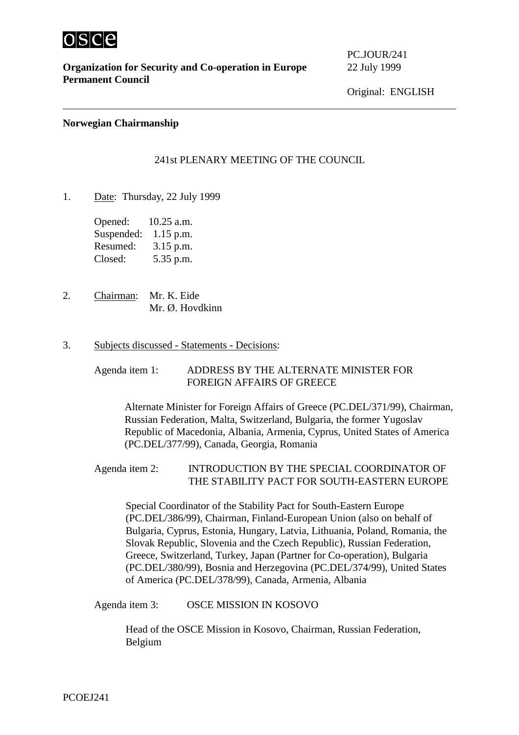

**Organization for Security and Co-operation in Europe** 22 July 1999 **Permanent Council**

PC.JOUR/241

### **Norwegian Chairmanship**

## 241st PLENARY MEETING OF THE COUNCIL

1. Date: Thursday, 22 July 1999

Opened: 10.25 a.m. Suspended: 1.15 p.m. Resumed: 3.15 p.m. Closed: 5.35 p.m.

2. Chairman: Mr. K. Eide Mr. Ø. Hovdkinn

#### 3. Subjects discussed - Statements - Decisions:

Agenda item 1: ADDRESS BY THE ALTERNATE MINISTER FOR FOREIGN AFFAIRS OF GREECE

 Alternate Minister for Foreign Affairs of Greece (PC.DEL/371/99), Chairman, Russian Federation, Malta, Switzerland, Bulgaria, the former Yugoslav Republic of Macedonia, Albania, Armenia, Cyprus, United States of America (PC.DEL/377/99), Canada, Georgia, Romania

# Agenda item 2: INTRODUCTION BY THE SPECIAL COORDINATOR OF THE STABILITY PACT FOR SOUTH-EASTERN EUROPE

Special Coordinator of the Stability Pact for South-Eastern Europe (PC.DEL/386/99), Chairman, Finland-European Union (also on behalf of Bulgaria, Cyprus, Estonia, Hungary, Latvia, Lithuania, Poland, Romania, the Slovak Republic, Slovenia and the Czech Republic), Russian Federation, Greece, Switzerland, Turkey, Japan (Partner for Co-operation), Bulgaria (PC.DEL/380/99), Bosnia and Herzegovina (PC.DEL/374/99), United States of America (PC.DEL/378/99), Canada, Armenia, Albania

Agenda item 3: OSCE MISSION IN KOSOVO

Head of the OSCE Mission in Kosovo, Chairman, Russian Federation, Belgium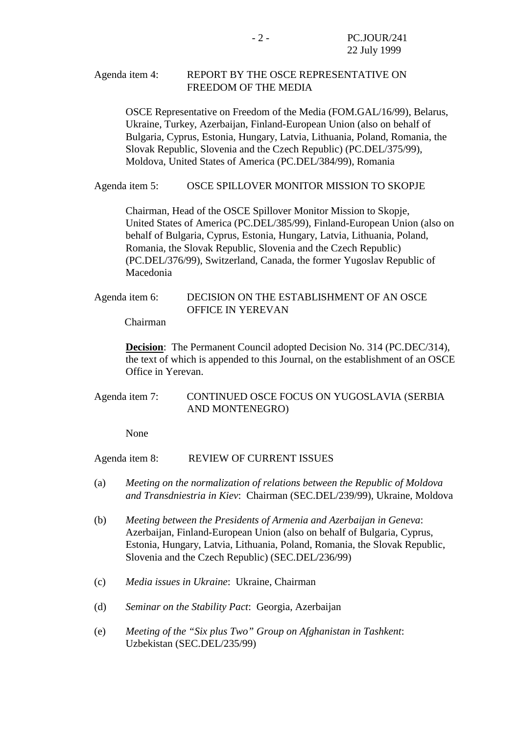## Agenda item 4: REPORT BY THE OSCE REPRESENTATIVE ON FREEDOM OF THE MEDIA

OSCE Representative on Freedom of the Media (FOM.GAL/16/99), Belarus, Ukraine, Turkey, Azerbaijan, Finland-European Union (also on behalf of Bulgaria, Cyprus, Estonia, Hungary, Latvia, Lithuania, Poland, Romania, the Slovak Republic, Slovenia and the Czech Republic) (PC.DEL/375/99), Moldova, United States of America (PC.DEL/384/99), Romania

Agenda item 5: OSCE SPILLOVER MONITOR MISSION TO SKOPJE

Chairman, Head of the OSCE Spillover Monitor Mission to Skopje, United States of America (PC.DEL/385/99), Finland-European Union (also on behalf of Bulgaria, Cyprus, Estonia, Hungary, Latvia, Lithuania, Poland, Romania, the Slovak Republic, Slovenia and the Czech Republic) (PC.DEL/376/99), Switzerland, Canada, the former Yugoslav Republic of Macedonia

Agenda item 6: DECISION ON THE ESTABLISHMENT OF AN OSCE OFFICE IN YEREVAN

Chairman

**Decision**: The Permanent Council adopted Decision No. 314 (PC.DEC/314), the text of which is appended to this Journal, on the establishment of an OSCE Office in Yerevan.

Agenda item 7: CONTINUED OSCE FOCUS ON YUGOSLAVIA (SERBIA AND MONTENEGRO)

None

Agenda item 8: REVIEW OF CURRENT ISSUES

- (a) *Meeting on the normalization of relations between the Republic of Moldova and Transdniestria in Kiev*: Chairman (SEC.DEL/239/99), Ukraine, Moldova
- (b) *Meeting between the Presidents of Armenia and Azerbaijan in Geneva*: Azerbaijan, Finland-European Union (also on behalf of Bulgaria, Cyprus, Estonia, Hungary, Latvia, Lithuania, Poland, Romania, the Slovak Republic, Slovenia and the Czech Republic) (SEC.DEL/236/99)
- (c) *Media issues in Ukraine*: Ukraine, Chairman
- (d) *Seminar on the Stability Pact*: Georgia, Azerbaijan
- (e) *Meeting of the "Six plus Two" Group on Afghanistan in Tashkent*: Uzbekistan (SEC.DEL/235/99)